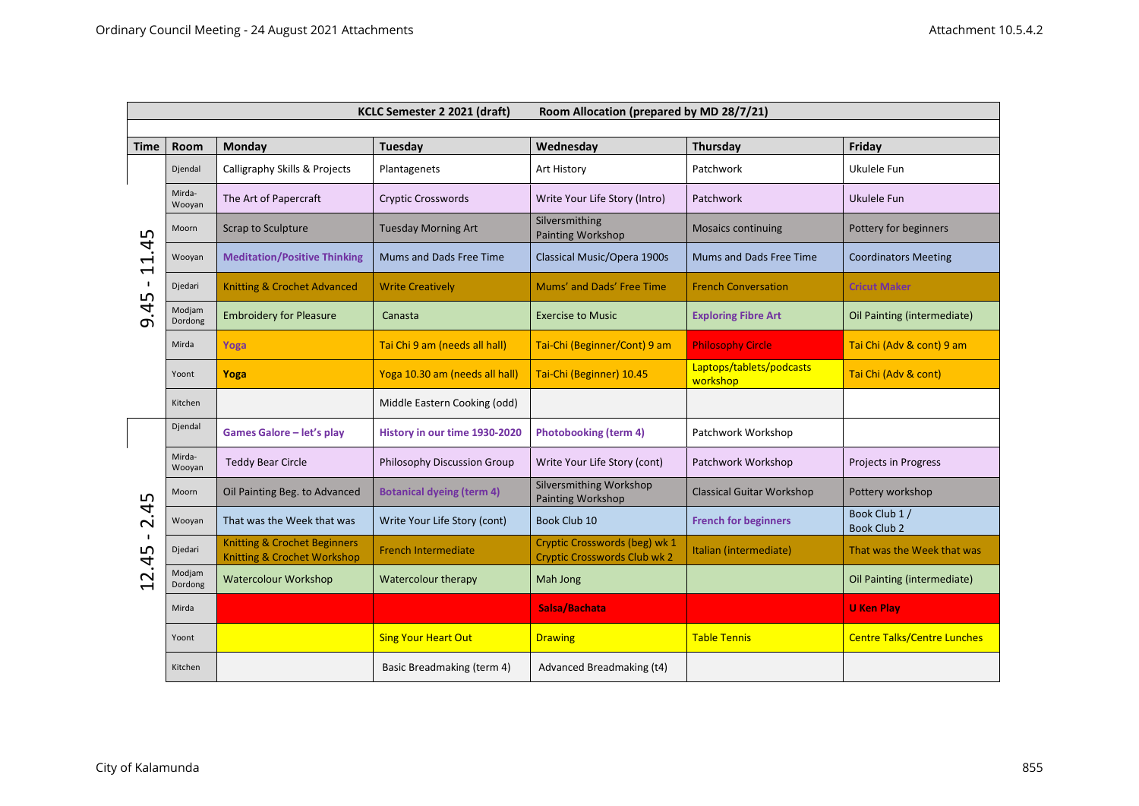| KCLC Semester 2 2021 (draft)<br>Room Allocation (prepared by MD 28/7/21)                                            |                   |                                                                                   |                                  |                                                                      |                                      |                                     |  |  |  |  |
|---------------------------------------------------------------------------------------------------------------------|-------------------|-----------------------------------------------------------------------------------|----------------------------------|----------------------------------------------------------------------|--------------------------------------|-------------------------------------|--|--|--|--|
|                                                                                                                     |                   |                                                                                   |                                  |                                                                      |                                      |                                     |  |  |  |  |
| Time                                                                                                                | <b>Room</b>       | Monday                                                                            | Tuesday                          | Wednesday                                                            | <b>Thursday</b>                      | Friday                              |  |  |  |  |
| ഥ<br>$\tilde{\mathbf{r}}$<br>$\blacktriangleright$<br>$\overline{\phantom{0}}$<br>L<br>$\overline{\mathbf{r}}$<br>െ | Djendal           | Calligraphy Skills & Projects                                                     | Plantagenets                     | Art History                                                          | Patchwork                            | Ukulele Fun                         |  |  |  |  |
|                                                                                                                     | Mirda-<br>Wooyan  | The Art of Papercraft                                                             | <b>Cryptic Crosswords</b>        | Write Your Life Story (Intro)                                        | Patchwork                            | Ukulele Fun                         |  |  |  |  |
|                                                                                                                     | Moorn             | Scrap to Sculpture                                                                | <b>Tuesday Morning Art</b>       | Silversmithing<br><b>Painting Workshop</b>                           | <b>Mosaics continuing</b>            | Pottery for beginners               |  |  |  |  |
|                                                                                                                     | Wooyan            | <b>Meditation/Positive Thinking</b>                                               | Mums and Dads Free Time          | Classical Music/Opera 1900s                                          | Mums and Dads Free Time              | <b>Coordinators Meeting</b>         |  |  |  |  |
|                                                                                                                     | Djedari           | <b>Knitting &amp; Crochet Advanced</b>                                            | <b>Write Creatively</b>          | Mums' and Dads' Free Time                                            | <b>French Conversation</b>           | <b>Cricut Maker</b>                 |  |  |  |  |
|                                                                                                                     | Modjam<br>Dordong | <b>Embroidery for Pleasure</b>                                                    | Canasta                          | <b>Exercise to Music</b>                                             | <b>Exploring Fibre Art</b>           | Oil Painting (intermediate)         |  |  |  |  |
|                                                                                                                     | Mirda             | Yoga                                                                              | Tai Chi 9 am (needs all hall)    | Tai-Chi (Beginner/Cont) 9 am                                         | <b>Philosophy Circle</b>             | Tai Chi (Adv & cont) 9 am           |  |  |  |  |
|                                                                                                                     | Yoont             | Yoga                                                                              | Yoga 10.30 am (needs all hall)   | Tai-Chi (Beginner) 10.45                                             | Laptops/tablets/podcasts<br>workshop | Tai Chi (Adv & cont)                |  |  |  |  |
|                                                                                                                     | Kitchen           |                                                                                   | Middle Eastern Cooking (odd)     |                                                                      |                                      |                                     |  |  |  |  |
| ഥ<br>4<br>$\sim$<br>$\mathbf{I}$<br>2.45                                                                            | Djendal           | Games Galore - let's play                                                         | History in our time 1930-2020    | <b>Photobooking (term 4)</b>                                         | Patchwork Workshop                   |                                     |  |  |  |  |
|                                                                                                                     | Mirda-<br>Wooyan  | <b>Teddy Bear Circle</b>                                                          | Philosophy Discussion Group      | Write Your Life Story (cont)                                         | Patchwork Workshop                   | Projects in Progress                |  |  |  |  |
|                                                                                                                     | Moorn             | Oil Painting Beg. to Advanced                                                     | <b>Botanical dyeing (term 4)</b> | Silversmithing Workshop<br><b>Painting Workshop</b>                  | <b>Classical Guitar Workshop</b>     | Pottery workshop                    |  |  |  |  |
|                                                                                                                     | Wooyan            | That was the Week that was                                                        | Write Your Life Story (cont)     | Book Club 10                                                         | <b>French for beginners</b>          | Book Club 1 /<br><b>Book Club 2</b> |  |  |  |  |
|                                                                                                                     | Djedari           | <b>Knitting &amp; Crochet Beginners</b><br><b>Knitting &amp; Crochet Workshop</b> | <b>French Intermediate</b>       | Cryptic Crosswords (beg) wk 1<br><b>Cryptic Crosswords Club wk 2</b> | Italian (intermediate)               | That was the Week that was          |  |  |  |  |
|                                                                                                                     | Modjam<br>Dordong | <b>Watercolour Workshop</b>                                                       | Watercolour therapy              | Mah Jong                                                             |                                      | Oil Painting (intermediate)         |  |  |  |  |
|                                                                                                                     | Mirda             |                                                                                   |                                  | Salsa/Bachata                                                        |                                      | <b>U Ken Play</b>                   |  |  |  |  |
|                                                                                                                     | Yoont             |                                                                                   | <b>Sing Your Heart Out</b>       | <b>Drawing</b>                                                       | <b>Table Tennis</b>                  | <b>Centre Talks/Centre Lunches</b>  |  |  |  |  |
|                                                                                                                     | Kitchen           |                                                                                   | Basic Breadmaking (term 4)       | Advanced Breadmaking (t4)                                            |                                      |                                     |  |  |  |  |